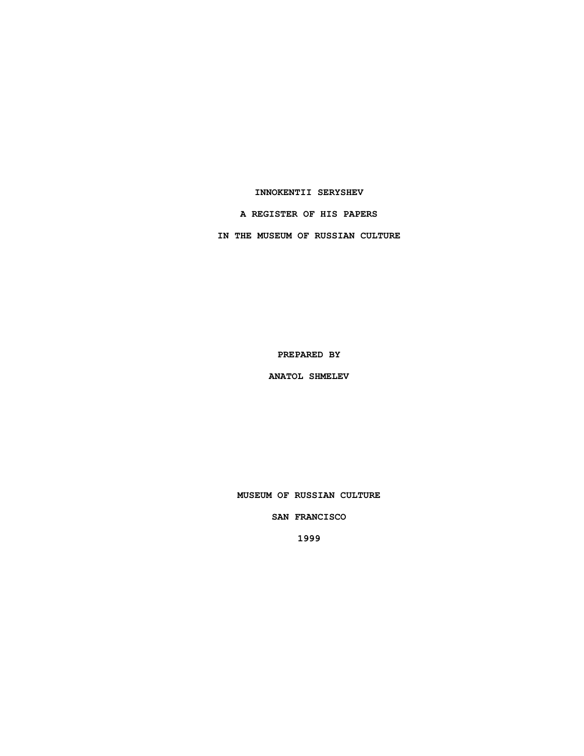#### **INNOKENTII SERYSHEV**

**A REGISTER OF HIS PAPERS**

**IN THE MUSEUM OF RUSSIAN CULTURE**

**PREPARED BY**

**ANATOL SHMELEV**

**MUSEUM OF RUSSIAN CULTURE**

**SAN FRANCISCO**

**1999**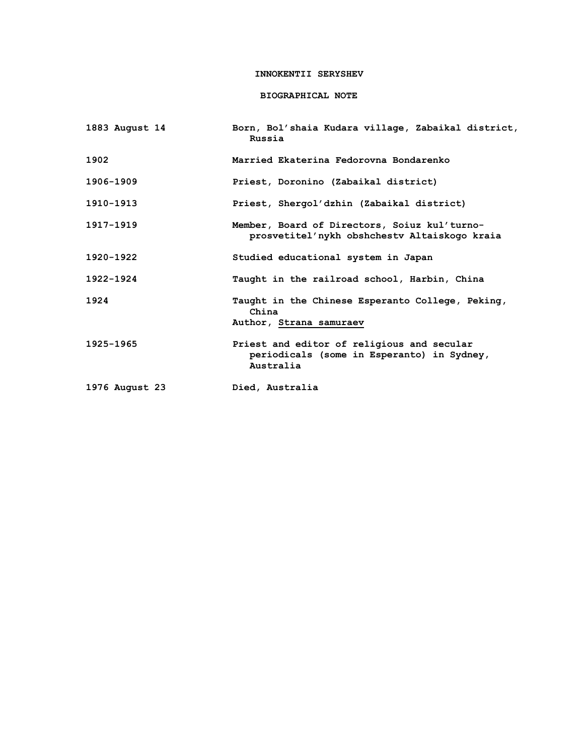## **INNOKENTII SERYSHEV**

## **BIOGRAPHICAL NOTE**

| 1883 August 14 | Born, Bol'shaia Kudara village, Zabaikal district,<br>Russia                                          |
|----------------|-------------------------------------------------------------------------------------------------------|
| 1902           | Married Ekaterina Fedorovna Bondarenko                                                                |
| 1906-1909      | Priest, Doronino (Zabaikal district)                                                                  |
| 1910-1913      | Priest, Shergol'dzhin (Zabaikal district)                                                             |
| 1917-1919      | Member, Board of Directors, Soiuz kul'turno-<br>prosvetitel'nykh obshchestv Altaiskogo kraia          |
| 1920-1922      | Studied educational system in Japan                                                                   |
| 1922-1924      | Taught in the railroad school, Harbin, China                                                          |
| 1924           | Taught in the Chinese Esperanto College, Peking,<br>China<br>Author, Strana samuraev                  |
| 1925-1965      | Priest and editor of religious and secular<br>periodicals (some in Esperanto) in Sydney,<br>Australia |
| 1976 August 23 | Died, Australia                                                                                       |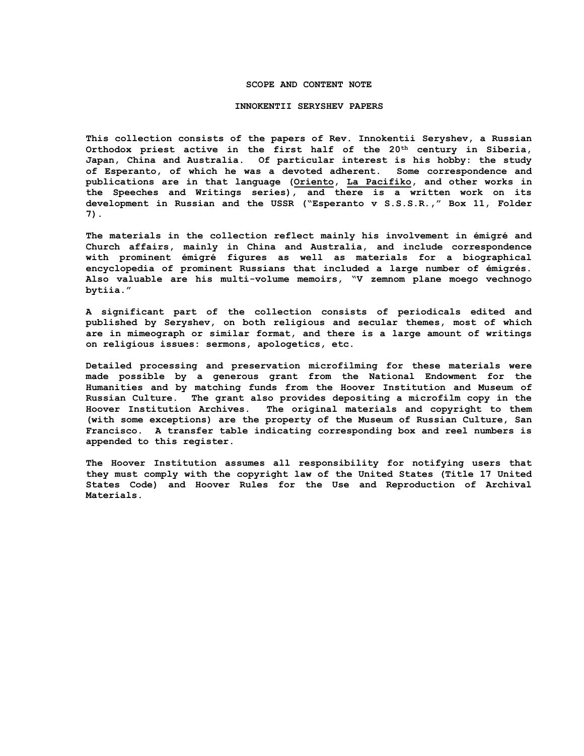### **SCOPE AND CONTENT NOTE**

#### **INNOKENTII SERYSHEV PAPERS**

**This collection consists of the papers of Rev. Innokentii Seryshev, a Russian Orthodox priest active in the first half of the 20th century in Siberia, Japan, China and Australia. Of particular interest is his hobby: the study of Esperanto, of which he was a devoted adherent. Some correspondence and publications are in that language (Oriento, La Pacifiko, and other works in the Speeches and Writings series), and there is a written work on its development in Russian and the USSR ("Esperanto v S.S.S.R.," Box 11, Folder 7).**

**The materials in the collection reflect mainly his involvement in émigré and Church affairs, mainly in China and Australia, and include correspondence with prominent émigré figures as well as materials for a biographical encyclopedia of prominent Russians that included a large number of émigrés. Also valuable are his multi-volume memoirs, "V zemnom plane moego vechnogo bytiia."**

**A significant part of the collection consists of periodicals edited and published by Seryshev, on both religious and secular themes, most of which are in mimeograph or similar format, and there is a large amount of writings on religious issues: sermons, apologetics, etc.**

**Detailed processing and preservation microfilming for these materials were made possible by a generous grant from the National Endowment for the Humanities and by matching funds from the Hoover Institution and Museum of Russian Culture. The grant also provides depositing a microfilm copy in the Hoover Institution Archives. The original materials and copyright to them (with some exceptions) are the property of the Museum of Russian Culture, San Francisco. A transfer table indicating corresponding box and reel numbers is appended to this register.**

**The Hoover Institution assumes all responsibility for notifying users that they must comply with the copyright law of the United States (Title 17 United States Code) and Hoover Rules for the Use and Reproduction of Archival Materials.**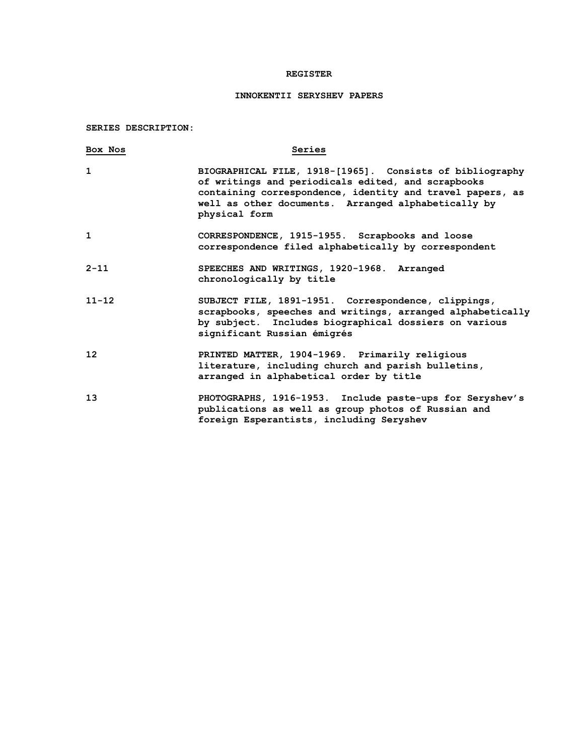## **REGISTER**

# **INNOKENTII SERYSHEV PAPERS**

**SERIES DESCRIPTION:**

| Box Nos   | Series                                                                                                                                                                                                                                              |
|-----------|-----------------------------------------------------------------------------------------------------------------------------------------------------------------------------------------------------------------------------------------------------|
| 1         | BIOGRAPHICAL FILE, 1918-[1965]. Consists of bibliography<br>of writings and periodicals edited, and scrapbooks<br>containing correspondence, identity and travel papers, as<br>well as other documents. Arranged alphabetically by<br>physical form |
| 1         | CORRESPONDENCE, 1915-1955. Scrapbooks and loose<br>correspondence filed alphabetically by correspondent                                                                                                                                             |
| $2 - 11$  | SPEECHES AND WRITINGS, 1920-1968. Arranged<br>chronologically by title                                                                                                                                                                              |
| $11 - 12$ | SUBJECT FILE, 1891-1951. Correspondence, clippings,<br>scrapbooks, speeches and writings, arranged alphabetically<br>by subject. Includes biographical dossiers on various<br>significant Russian émigrés                                           |
| 12        | PRINTED MATTER, 1904-1969. Primarily religious<br>literature, including church and parish bulletins,<br>arranged in alphabetical order by title                                                                                                     |
| 13        | PHOTOGRAPHS, 1916-1953. Include paste-ups for Seryshev's<br>publications as well as group photos of Russian and<br>foreign Esperantists, including Seryshev                                                                                         |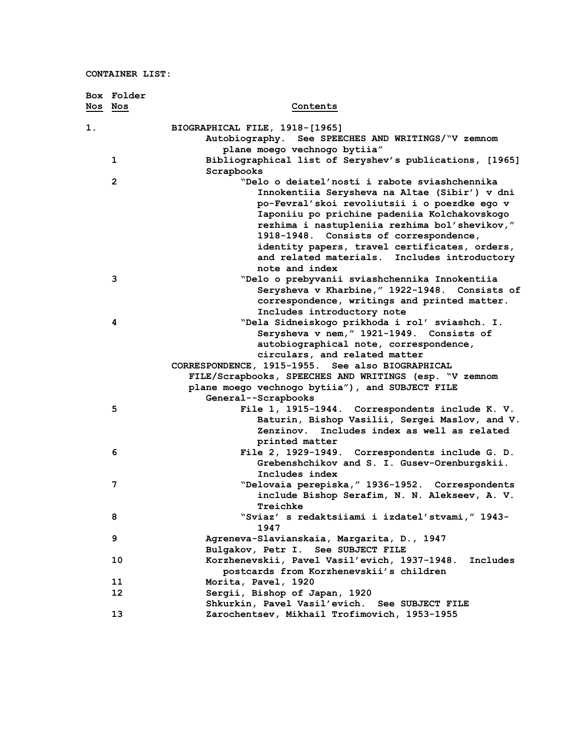|    | Box Folder     |                                                                                     |
|----|----------------|-------------------------------------------------------------------------------------|
|    | Nos Nos        | Contents                                                                            |
| 1. |                | BIOGRAPHICAL FILE, 1918-[1965]                                                      |
|    |                | Autobiography. See SPEECHES AND WRITINGS/"V zemnom                                  |
|    |                | plane moego vechnogo bytiia"                                                        |
|    | 1              | Bibliographical list of Seryshev's publications, [1965]                             |
|    |                | Scrapbooks                                                                          |
|    | $\overline{2}$ | "Delo o deiatel'nosti i rabote sviashchennika                                       |
|    |                | Innokentiia Serysheva na Altae (Sibir') v dni                                       |
|    |                | po-Fevral'skoi revoliutsii i o poezdke ego v                                        |
|    |                | Iaponiiu po prichine padeniia Kolchakovskogo                                        |
|    |                | rezhima i nastupleniia rezhima bol'shevikov,"                                       |
|    |                | 1918-1948. Consists of correspondence,                                              |
|    |                | identity papers, travel certificates, orders,                                       |
|    |                | and related materials. Includes introductory                                        |
|    |                | note and index                                                                      |
|    | 3              | "Delo o prebyvanii sviashchennika Innokentiia                                       |
|    |                | Serysheva v Kharbine, " 1922-1948. Consists of                                      |
|    |                | correspondence, writings and printed matter.                                        |
|    |                | Includes introductory note                                                          |
|    | 4              | "Dela Sidneiskogo prikhoda i rol' sviashch. I.                                      |
|    |                | Serysheva v nem, " 1921-1949. Consists of<br>autobiographical note, correspondence, |
|    |                | circulars, and related matter                                                       |
|    |                | CORRESPONDENCE, 1915-1955. See also BIOGRAPHICAL                                    |
|    |                | FILE/Scrapbooks, SPEECHES AND WRITINGS (esp. "V zemnom                              |
|    |                | plane moego vechnogo bytiia"), and SUBJECT FILE                                     |
|    |                | General--Scrapbooks                                                                 |
|    | 5              | File 1, 1915-1944. Correspondents include K. V.                                     |
|    |                | Baturin, Bishop Vasilii, Sergei Maslov, and V.                                      |
|    |                | Includes index as well as related<br>Zenzinov.                                      |
|    |                | printed matter                                                                      |
|    | 6              | File 2, 1929-1949. Correspondents include G. D.                                     |
|    |                | Grebenshchikov and S. I. Gusev-Orenburgskii.                                        |
|    |                | Includes index                                                                      |
|    | 7              | "Delovaia perepiska, " 1936-1952. Correspondents                                    |
|    |                | include Bishop Serafim, N. N. Alekseev, A. V.                                       |
|    |                | Treichke                                                                            |
|    | 8              | "Sviaz' s redaktsiiami i izdatel'stvami," 1943-                                     |
|    |                | 1947                                                                                |
|    | 9              | Agreneva-Slavianskaia, Margarita, D., 1947                                          |
|    |                | Bulgakov, Petr I. See SUBJECT FILE                                                  |
|    | 10             | Korzhenevskii, Pavel Vasil'evich, 1937-1948.<br>Includes                            |
|    | 11             | postcards from Korzhenevskii's children                                             |
|    | 12             | Morita, Pavel, 1920<br>Sergii, Bishop of Japan, 1920                                |
|    |                | Shkurkin, Pavel Vasil'evich. See SUBJECT FILE                                       |
|    | 13             | Zarochentsev, Mikhail Trofimovich, 1953-1955                                        |
|    |                |                                                                                     |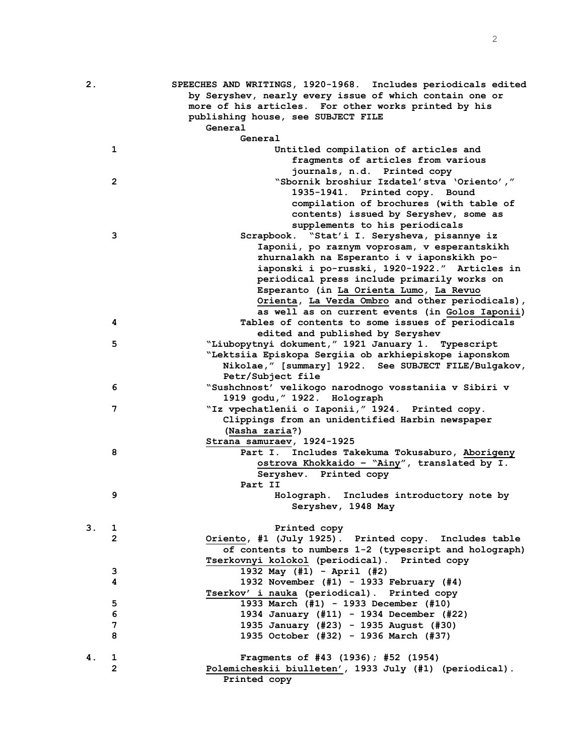| 2. |                       | SPEECHES AND WRITINGS, 1920-1968. Includes periodicals edited<br>by Seryshev, nearly every issue of which contain one or<br>more of his articles. For other works printed by his<br>publishing house, see SUBJECT FILE<br>General |
|----|-----------------------|-----------------------------------------------------------------------------------------------------------------------------------------------------------------------------------------------------------------------------------|
|    |                       | General                                                                                                                                                                                                                           |
|    | 1                     | Untitled compilation of articles and                                                                                                                                                                                              |
|    |                       | fragments of articles from various                                                                                                                                                                                                |
|    |                       | journals, n.d. Printed copy                                                                                                                                                                                                       |
|    | $\mathbf{2}$          | "Sbornik broshiur Izdatel'stva 'Oriento',"                                                                                                                                                                                        |
|    |                       | 1935-1941. Printed copy. Bound                                                                                                                                                                                                    |
|    |                       | compilation of brochures (with table of                                                                                                                                                                                           |
|    |                       | contents) issued by Seryshev, some as                                                                                                                                                                                             |
|    |                       | supplements to his periodicals                                                                                                                                                                                                    |
|    | 3                     | Scrapbook. "Stat'i I. Serysheva, pisannye iz                                                                                                                                                                                      |
|    |                       | Iaponii, po raznym voprosam, v esperantskikh                                                                                                                                                                                      |
|    |                       | zhurnalakh na Esperanto i v iaponskikh po-                                                                                                                                                                                        |
|    |                       | iaponski i po-russki, 1920-1922." Articles in                                                                                                                                                                                     |
|    |                       | periodical press include primarily works on                                                                                                                                                                                       |
|    |                       | Esperanto (in La Orienta Lumo, La Revuo                                                                                                                                                                                           |
|    |                       | Orienta, La Verda Ombro and other periodicals),                                                                                                                                                                                   |
|    |                       |                                                                                                                                                                                                                                   |
|    |                       | as well as on current events (in Golos Iaponii)                                                                                                                                                                                   |
|    | 4                     | Tables of contents to some issues of periodicals                                                                                                                                                                                  |
|    |                       | edited and published by Seryshev                                                                                                                                                                                                  |
|    | 5                     | "Liubopytnyi dokument, " 1921 January 1. Typescript                                                                                                                                                                               |
|    |                       | "Lektsiia Episkopa Sergiia ob arkhiepiskope iaponskom                                                                                                                                                                             |
|    |                       | Nikolae," [summary] 1922. See SUBJECT FILE/Bulgakov,                                                                                                                                                                              |
|    |                       | Petr/Subject file                                                                                                                                                                                                                 |
|    | 6                     | "Sushchnost' velikogo narodnogo vosstaniia v Sibiri v                                                                                                                                                                             |
|    |                       | 1919 godu, "1922. Holograph                                                                                                                                                                                                       |
|    | 7                     | "Iz vpechatlenii o Iaponii, " 1924. Printed copy.                                                                                                                                                                                 |
|    |                       | Clippings from an unidentified Harbin newspaper                                                                                                                                                                                   |
|    |                       | (Nasha zaria?)                                                                                                                                                                                                                    |
|    |                       | Strana samuraev, 1924-1925                                                                                                                                                                                                        |
|    | 8                     | Part I. Includes Takekuma Tokusaburo, Aborigeny                                                                                                                                                                                   |
|    |                       | ostrova Khokkaido - "Ainy", translated by I.                                                                                                                                                                                      |
|    |                       | Seryshev. Printed copy                                                                                                                                                                                                            |
|    |                       | Part II                                                                                                                                                                                                                           |
|    | 9                     | Holograph. Includes introductory note by                                                                                                                                                                                          |
|    |                       | Seryshev, 1948 May                                                                                                                                                                                                                |
|    |                       |                                                                                                                                                                                                                                   |
| 3. | $\mathbf{1}$          | Printed copy                                                                                                                                                                                                                      |
|    | $\overline{2}$        | Oriento, #1 (July 1925). Printed copy. Includes table                                                                                                                                                                             |
|    |                       | of contents to numbers 1-2 (typescript and holograph)                                                                                                                                                                             |
|    |                       | Tserkovnyi kolokol (periodical). Printed copy                                                                                                                                                                                     |
|    | 3                     | 1932 May (#1) - April (#2)                                                                                                                                                                                                        |
|    | 4                     | 1932 November (#1) - 1933 February (#4)                                                                                                                                                                                           |
|    |                       | Tserkov' i nauka (periodical). Printed copy                                                                                                                                                                                       |
|    | 5                     | 1933 March (#1) - 1933 December (#10)                                                                                                                                                                                             |
|    | 6                     | 1934 January (#11) - 1934 December (#22)                                                                                                                                                                                          |
|    | 7                     | 1935 January (#23) - 1935 August (#30)                                                                                                                                                                                            |
|    | 8                     | 1935 October (#32) - 1936 March (#37)                                                                                                                                                                                             |
|    |                       |                                                                                                                                                                                                                                   |
| 4. | 1                     | Fragments of #43 (1936); #52 (1954)                                                                                                                                                                                               |
|    | $\mathbf{2}^{\prime}$ | Polemicheskii biulleten', 1933 July (#1) (periodical).                                                                                                                                                                            |
|    |                       | Printed copy                                                                                                                                                                                                                      |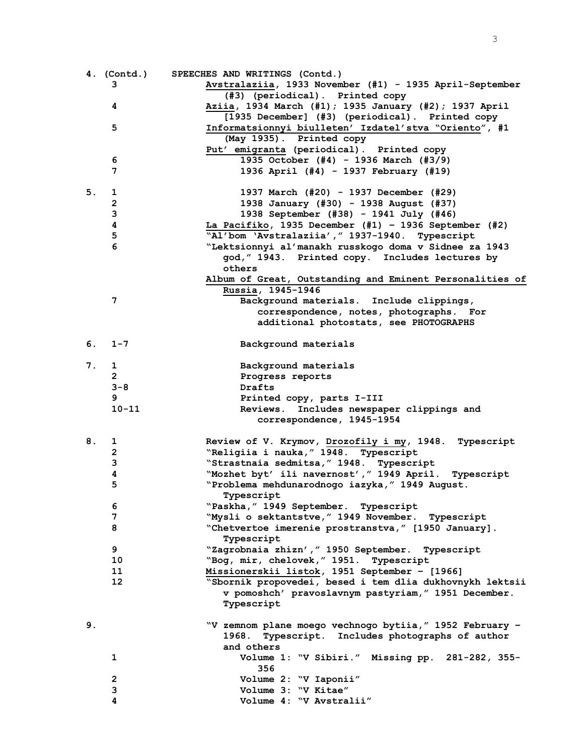|    | 4. (Contd.)    | SPEECHES AND WRITINGS (Contd.)                                    |
|----|----------------|-------------------------------------------------------------------|
|    | 3              | Avstralaziia, 1933 November (#1) - 1935 April-September           |
|    |                | (#3) (periodical). Printed copy                                   |
|    | 4              | Aziia, 1934 March (#1); 1935 January (#2); 1937 April             |
|    |                | [1935 December] (#3) (periodical). Printed copy                   |
|    | 5              | Informatsionnyi biulleten' Izdatel'stva "Oriento", #1             |
|    |                | (May 1935). Printed copy                                          |
|    |                | Put' emigranta (periodical). Printed copy                         |
|    | 6              | 1935 October (#4) - 1936 March (#3/9)                             |
|    | 7              | 1936 April (#4) - 1937 February (#19)                             |
| 5. | 1              | 1937 March (#20) - 1937 December (#29)                            |
|    | $\mathbf{2}$   | 1938 January (#30) - 1938 August (#37)                            |
|    | 3              | 1938 September (#38) - 1941 July (#46)                            |
|    | 4              | La Pacifiko, 1935 December (#1) - 1936 September (#2)             |
|    | 5              | "Al'bom 'Avstralaziia', " 1937-1940. Typescript                   |
|    | 6              | "Lektsionnyi al'manakh russkogo doma v Sidnee za 1943             |
|    |                | god, " 1943. Printed copy. Includes lectures by<br>others         |
|    |                | Album of Great, Outstanding and Eminent Personalities of          |
|    |                | Russia, 1945-1946                                                 |
|    | 7              | Background materials. Include clippings,                          |
|    |                | correspondence, notes, photographs. For                           |
|    |                | additional photostats, see PHOTOGRAPHS                            |
|    |                |                                                                   |
| 6. | $1 - 7$        | Background materials                                              |
| 7. | $\mathbf{1}$   | Background materials                                              |
|    | $\mathbf{2}$   | Progress reports                                                  |
|    | $3 - 8$        | Drafts                                                            |
|    | 9              | Printed copy, parts I-III                                         |
|    | $10 - 11$      | Includes newspaper clippings and<br><b>Reviews.</b>               |
|    |                | correspondence, 1945-1954                                         |
| 8. | ı              | Review of V. Krymov, Drozofily i my, 1948. Typescript             |
|    | $\overline{2}$ | "Religiia i nauka, " 1948. Typescript                             |
|    | 3              | "Strastnaia sedmitsa, "1948. Typescript                           |
|    | 4              | "Mozhet byt' ili navernost', " 1949 April.<br>Typescript          |
|    | 5              | "Problema mehdunarodnogo iazyka, " 1949 August.                   |
|    |                | Typescript                                                        |
|    | 6              | "Paskha, " 1949 September. Typescript                             |
|    | 7              | "Mysli o sektantstve," 1949 November.<br>Typescript               |
|    | 8              | "Chetvertoe imerenie prostranstva," [1950 January].               |
|    |                | Typescript                                                        |
|    | 9              | "Zagrobnaia zhizn', " 1950 September. Typescript                  |
|    | 10             | "Bog, mir, chelovek, " 1951. Typescript                           |
|    | 11             | Missionerskii listok, 1951 September - [1966]                     |
|    | 12             | "Sbornik propovedei, besed i tem dlia dukhovnykh lektsii          |
|    |                | v pomoshch' pravoslavnym pastyriam," 1951 December.<br>Typescript |
|    |                |                                                                   |
| 9. |                | "V zemnom plane moego vechnogo bytiia," 1952 February -           |
|    |                | Typescript. Includes photographs of author<br>1968.               |
|    |                | and others                                                        |
|    | 1              | Volume 1: "V Sibiri." Missing pp. 281-282, 355-                   |
|    |                | 356                                                               |
|    | $\mathbf{2}$   | Volume 2: "V Iaponii"                                             |
|    | 3              | Volume 3: "V Kitae"                                               |
|    | 4              | Volume 4: "V Avstralii"                                           |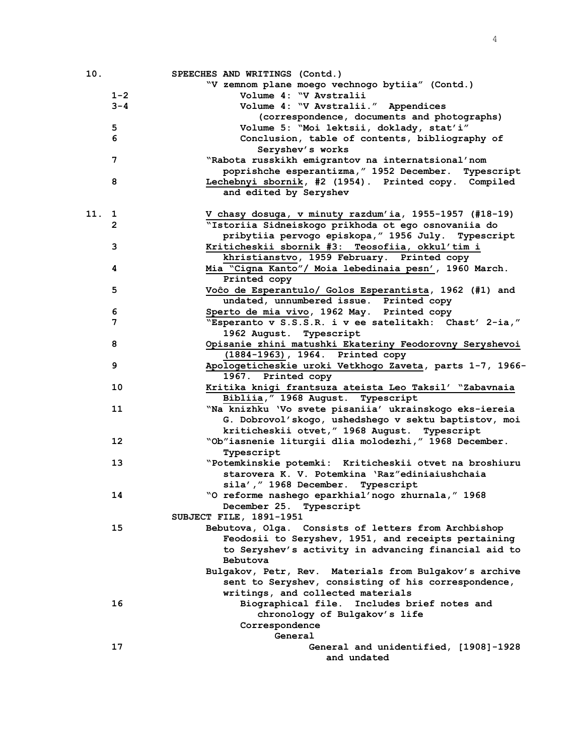| $10.$ |         | SPEECHES AND WRITINGS (Contd.)                           |
|-------|---------|----------------------------------------------------------|
|       |         | "V zemnom plane moego vechnogo bytiia" (Contd.)          |
|       | $1 - 2$ | Volume 4: "V Avstralii                                   |
|       | $3 - 4$ | Volume 4: "V Avstralii." Appendices                      |
|       |         | (correspondence, documents and photographs)              |
|       | 5       | Volume 5: "Moi lektsii, doklady, stat'i"                 |
|       | 6       | Conclusion, table of contents, bibliography of           |
|       |         | Seryshev's works                                         |
|       | 7       | "Rabota russkikh emigrantov na internatsional'nom        |
|       |         | poprishche esperantizma, " 1952 December. Typescript     |
|       | 8       | Lechebnyi sbornik, #2 (1954). Printed copy. Compiled     |
|       |         | and edited by Seryshev                                   |
|       |         |                                                          |
| 11. 1 |         | V chasy dosuga, v minuty razdum'ia, 1955-1957 (#18-19)   |
|       | 2       | "Istoriia Sidneiskogo prikhoda ot ego osnovaniia do      |
|       |         | pribytiia pervogo episkopa, "1956 July.<br>Typescript    |
|       | 3       | Kriticheskii sbornik #3: Teosofiia, okkul'tim i          |
|       |         | khristianstvo, 1959 February. Printed copy               |
|       | 4       | Mia "Cigna Kanto"/ Moia lebedinaia pesn', 1960 March.    |
|       |         | Printed copy                                             |
|       | 5       | Voĉo de Esperantulo/ Golos Esperantista, 1962 (#1) and   |
|       |         | undated, unnumbered issue. Printed copy                  |
|       | 6       | Sperto de mia vivo, 1962 May. Printed copy               |
|       | 7       | "Esperanto v S.S.S.R. i v ee satelitakh: Chast' 2-ia,"   |
|       |         | 1962 August. Typescript                                  |
|       | 8       | Opisanie zhini matushki Ekateriny Feodorovny Seryshevoi  |
|       |         | (1884-1963), 1964. Printed copy                          |
|       | 9       | Apologeticheskie uroki Vetkhogo Zaveta, parts 1-7, 1966- |
|       |         | 1967. Printed copy                                       |
|       | 10      | Kritika knigi frantsuza ateista Leo Taksil' "Zabavnaia   |
|       |         | Bibliia," 1968 August. Typescript                        |
|       | 11      | "Na knizhku 'Vo svete pisaniia' ukrainskogo eks-iereia   |
|       |         | G. Dobrovol'skogo, ushedshego v sektu baptistov, moi     |
|       |         | kriticheskii otvet, "1968 August. Typescript             |
|       | 12      | "Ob"iasnenie liturgii dlia molodezhi, " 1968 December.   |
|       |         |                                                          |
|       | 13      | Typescript                                               |
|       |         | "Potemkinskie potemki: Kriticheskii otvet na broshiuru   |
|       |         | starovera K. V. Potemkina 'Raz"ediniaiushchaia           |
|       |         | sila', " 1968 December. Typescript                       |
|       | 14      | "O reforme nashego eparkhial' nogo zhurnala, "1968       |
|       |         | December 25. Typescript                                  |
|       |         | SUBJECT FILE, 1891-1951                                  |
|       | 15      | Bebutova, Olga. Consists of letters from Archbishop      |
|       |         | Feodosii to Seryshev, 1951, and receipts pertaining      |
|       |         | to Seryshev's activity in advancing financial aid to     |
|       |         | Bebutova                                                 |
|       |         | Bulgakov, Petr, Rev. Materials from Bulgakov's archive   |
|       |         | sent to Seryshev, consisting of his correspondence,      |
|       |         | writings, and collected materials                        |
|       | 16      | Biographical file.<br>Includes brief notes and           |
|       |         | chronology of Bulgakov's life                            |
|       |         | Correspondence                                           |
|       |         | General                                                  |
|       | 17      | General and unidentified, [1908]-1928                    |
|       |         | and undated                                              |